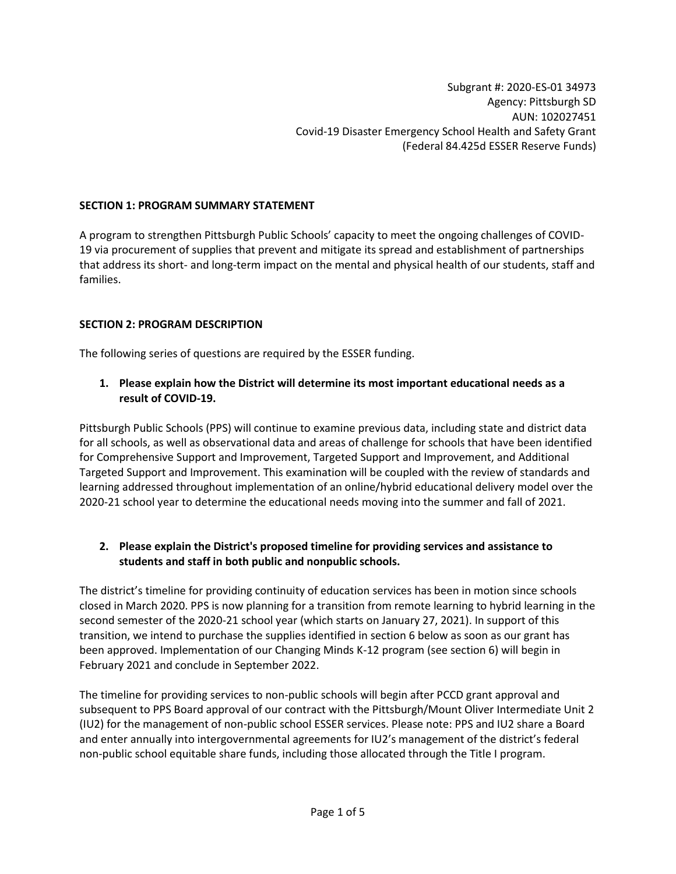#### **SECTION 1: PROGRAM SUMMARY STATEMENT**

A program to strengthen Pittsburgh Public Schools' capacity to meet the ongoing challenges of COVID-19 via procurement of supplies that prevent and mitigate its spread and establishment of partnerships that address its short- and long-term impact on the mental and physical health of our students, staff and families.

#### **SECTION 2: PROGRAM DESCRIPTION**

The following series of questions are required by the ESSER funding.

**1. Please explain how the District will determine its most important educational needs as a result of COVID-19.**

Pittsburgh Public Schools (PPS) will continue to examine previous data, including state and district data for all schools, as well as observational data and areas of challenge for schools that have been identified for Comprehensive Support and Improvement, Targeted Support and Improvement, and Additional Targeted Support and Improvement. This examination will be coupled with the review of standards and learning addressed throughout implementation of an online/hybrid educational delivery model over the 2020-21 school year to determine the educational needs moving into the summer and fall of 2021.

#### **2. Please explain the District's proposed timeline for providing services and assistance to students and staff in both public and nonpublic schools.**

The district's timeline for providing continuity of education services has been in motion since schools closed in March 2020. PPS is now planning for a transition from remote learning to hybrid learning in the second semester of the 2020-21 school year (which starts on January 27, 2021). In support of this transition, we intend to purchase the supplies identified in section 6 below as soon as our grant has been approved. Implementation of our Changing Minds K-12 program (see section 6) will begin in February 2021 and conclude in September 2022.

The timeline for providing services to non-public schools will begin after PCCD grant approval and subsequent to PPS Board approval of our contract with the Pittsburgh/Mount Oliver Intermediate Unit 2 (IU2) for the management of non-public school ESSER services. Please note: PPS and IU2 share a Board and enter annually into intergovernmental agreements for IU2's management of the district's federal non-public school equitable share funds, including those allocated through the Title I program.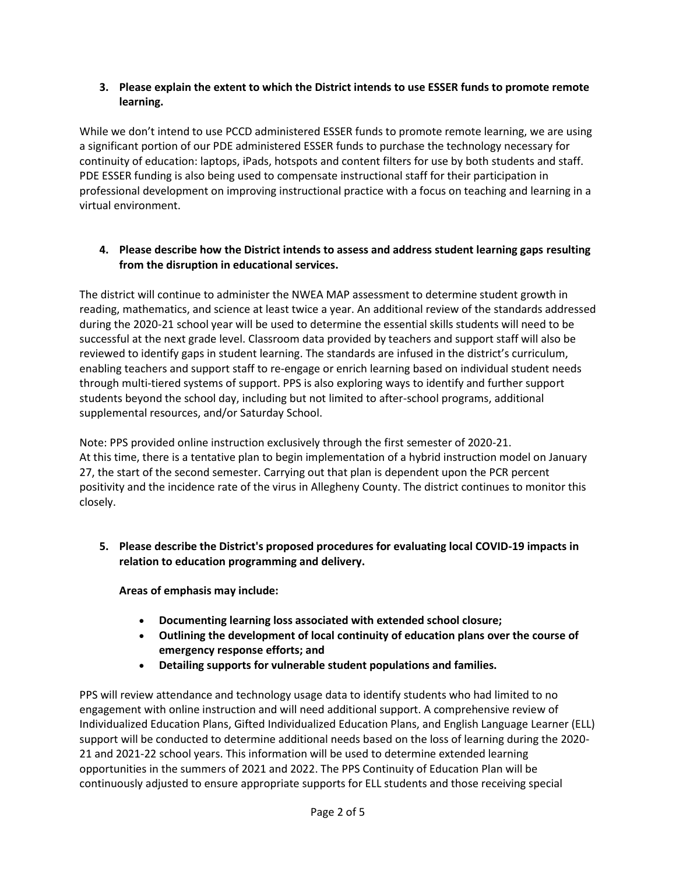### **3. Please explain the extent to which the District intends to use ESSER funds to promote remote learning.**

While we don't intend to use PCCD administered ESSER funds to promote remote learning, we are using a significant portion of our PDE administered ESSER funds to purchase the technology necessary for continuity of education: laptops, iPads, hotspots and content filters for use by both students and staff. PDE ESSER funding is also being used to compensate instructional staff for their participation in professional development on improving instructional practice with a focus on teaching and learning in a virtual environment.

### **4. Please describe how the District intends to assess and address student learning gaps resulting from the disruption in educational services.**

The district will continue to administer the NWEA MAP assessment to determine student growth in reading, mathematics, and science at least twice a year. An additional review of the standards addressed during the 2020-21 school year will be used to determine the essential skills students will need to be successful at the next grade level. Classroom data provided by teachers and support staff will also be reviewed to identify gaps in student learning. The standards are infused in the district's curriculum, enabling teachers and support staff to re-engage or enrich learning based on individual student needs through multi-tiered systems of support. PPS is also exploring ways to identify and further support students beyond the school day, including but not limited to after-school programs, additional supplemental resources, and/or Saturday School.

Note: PPS provided online instruction exclusively through the first semester of 2020-21. At this time, there is a tentative plan to begin implementation of a hybrid instruction model on January 27, the start of the second semester. Carrying out that plan is dependent upon the PCR percent positivity and the incidence rate of the virus in Allegheny County. The district continues to monitor this closely.

**5. Please describe the District's proposed procedures for evaluating local COVID-19 impacts in relation to education programming and delivery.**

**Areas of emphasis may include:**

- **Documenting learning loss associated with extended school closure;**
- **Outlining the development of local continuity of education plans over the course of emergency response efforts; and**
- **Detailing supports for vulnerable student populations and families.**

PPS will review attendance and technology usage data to identify students who had limited to no engagement with online instruction and will need additional support. A comprehensive review of Individualized Education Plans, Gifted Individualized Education Plans, and English Language Learner (ELL) support will be conducted to determine additional needs based on the loss of learning during the 2020- 21 and 2021-22 school years. This information will be used to determine extended learning opportunities in the summers of 2021 and 2022. The PPS Continuity of Education Plan will be continuously adjusted to ensure appropriate supports for ELL students and those receiving special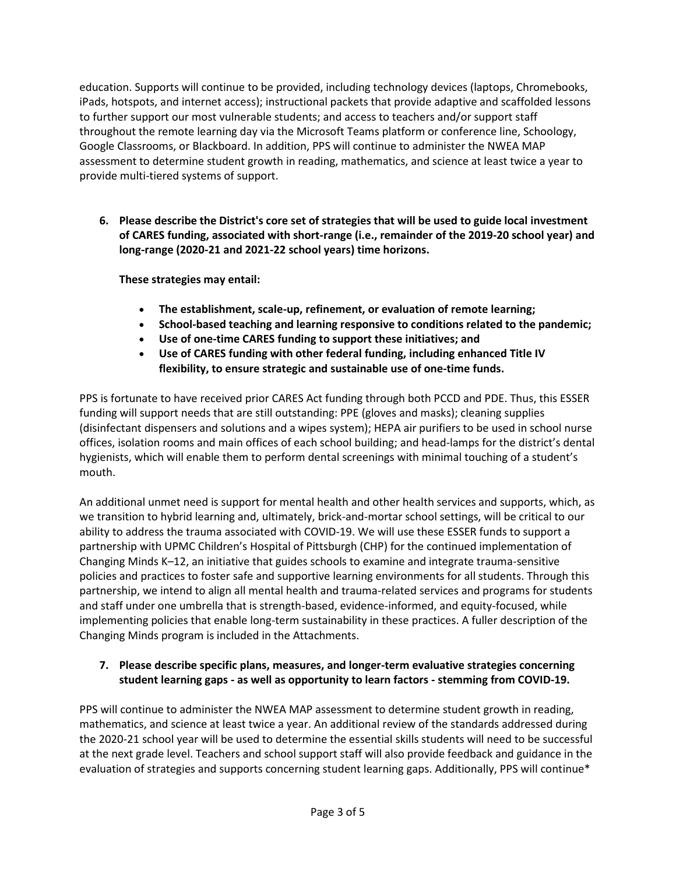education. Supports will continue to be provided, including technology devices (laptops, Chromebooks, iPads, hotspots, and internet access); instructional packets that provide adaptive and scaffolded lessons to further support our most vulnerable students; and access to teachers and/or support staff throughout the remote learning day via the Microsoft Teams platform or conference line, Schoology, Google Classrooms, or Blackboard. In addition, PPS will continue to administer the NWEA MAP assessment to determine student growth in reading, mathematics, and science at least twice a year to provide multi-tiered systems of support.

**6. Please describe the District's core set of strategies that will be used to guide local investment of CARES funding, associated with short-range (i.e., remainder of the 2019-20 school year) and long-range (2020-21 and 2021-22 school years) time horizons.**

**These strategies may entail:**

- **The establishment, scale-up, refinement, or evaluation of remote learning;**
- **School-based teaching and learning responsive to conditions related to the pandemic;**
- **Use of one-time CARES funding to support these initiatives; and**
- **Use of CARES funding with other federal funding, including enhanced Title IV flexibility, to ensure strategic and sustainable use of one-time funds.**

PPS is fortunate to have received prior CARES Act funding through both PCCD and PDE. Thus, this ESSER funding will support needs that are still outstanding: PPE (gloves and masks); cleaning supplies (disinfectant dispensers and solutions and a wipes system); HEPA air purifiers to be used in school nurse offices, isolation rooms and main offices of each school building; and head-lamps for the district's dental hygienists, which will enable them to perform dental screenings with minimal touching of a student's mouth.

An additional unmet need is support for mental health and other health services and supports, which, as we transition to hybrid learning and, ultimately, brick-and-mortar school settings, will be critical to our ability to address the trauma associated with COVID-19. We will use these ESSER funds to support a partnership with UPMC Children's Hospital of Pittsburgh (CHP) for the continued implementation of Changing Minds K–12, an initiative that guides schools to examine and integrate trauma-sensitive policies and practices to foster safe and supportive learning environments for all students. Through this partnership, we intend to align all mental health and trauma-related services and programs for students and staff under one umbrella that is strength-based, evidence-informed, and equity-focused, while implementing policies that enable long-term sustainability in these practices. A fuller description of the Changing Minds program is included in the Attachments.

# **7. Please describe specific plans, measures, and longer-term evaluative strategies concerning student learning gaps - as well as opportunity to learn factors - stemming from COVID-19.**

PPS will continue to administer the NWEA MAP assessment to determine student growth in reading, mathematics, and science at least twice a year. An additional review of the standards addressed during the 2020-21 school year will be used to determine the essential skills students will need to be successful at the next grade level. Teachers and school support staff will also provide feedback and guidance in the evaluation of strategies and supports concerning student learning gaps. Additionally, PPS will continue\*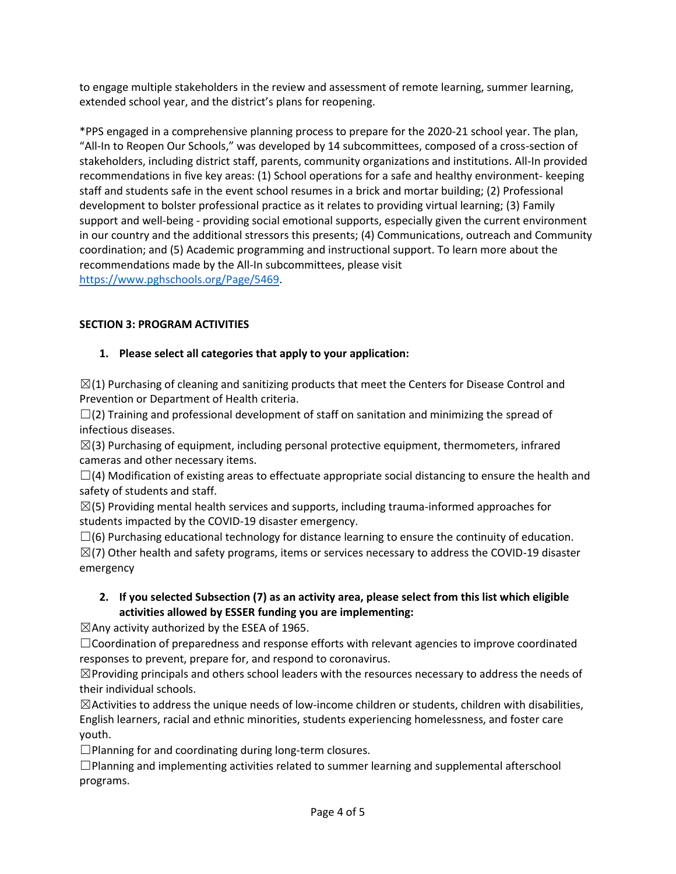to engage multiple stakeholders in the review and assessment of remote learning, summer learning, extended school year, and the district's plans for reopening.

\*PPS engaged in a comprehensive planning process to prepare for the 2020-21 school year. The plan, "All-In to Reopen Our Schools," was developed by 14 subcommittees, composed of a cross-section of stakeholders, including district staff, parents, community organizations and institutions. All-In provided recommendations in five key areas: (1) School operations for a safe and healthy environment- keeping staff and students safe in the event school resumes in a brick and mortar building; (2) Professional development to bolster professional practice as it relates to providing virtual learning; (3) Family support and well-being - providing social emotional supports, especially given the current environment in our country and the additional stressors this presents; (4) Communications, outreach and Community coordination; and (5) Academic programming and instructional support. To learn more about the recommendations made by the All-In subcommittees, please visit [https://www.pghschools.org/Page/5469.](https://www.pghschools.org/Page/5469)

# **SECTION 3: PROGRAM ACTIVITIES**

# **1. Please select all categories that apply to your application:**

 $\boxtimes$ (1) Purchasing of cleaning and sanitizing products that meet the Centers for Disease Control and Prevention or Department of Health criteria.

 $\square$ (2) Training and professional development of staff on sanitation and minimizing the spread of infectious diseases.

 $\boxtimes$ (3) Purchasing of equipment, including personal protective equipment, thermometers, infrared cameras and other necessary items.

 $\Box$ (4) Modification of existing areas to effectuate appropriate social distancing to ensure the health and safety of students and staff.

 $\boxtimes$ (5) Providing mental health services and supports, including trauma-informed approaches for students impacted by the COVID-19 disaster emergency.

 $\square$ (6) Purchasing educational technology for distance learning to ensure the continuity of education.

 $\boxtimes$ (7) Other health and safety programs, items or services necessary to address the COVID-19 disaster emergency

# **2. If you selected Subsection (7) as an activity area, please select from this list which eligible activities allowed by ESSER funding you are implementing:**

 $\boxtimes$ Any activity authorized by the ESEA of 1965.

☐Coordination of preparedness and response efforts with relevant agencies to improve coordinated responses to prevent, prepare for, and respond to coronavirus.

 $\boxtimes$ Providing principals and others school leaders with the resources necessary to address the needs of their individual schools.

 $\boxtimes$ Activities to address the unique needs of low-income children or students, children with disabilities, English learners, racial and ethnic minorities, students experiencing homelessness, and foster care youth.

 $\square$ Planning for and coordinating during long-term closures.

 $\square$ Planning and implementing activities related to summer learning and supplemental afterschool programs.